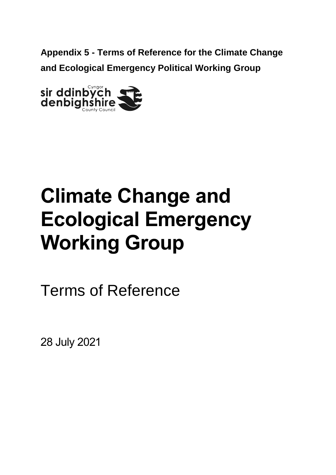**Appendix 5 - Terms of Reference for the Climate Change and Ecological Emergency Political Working Group**



# **Climate Change and Ecological Emergency Working Group**

Terms of Reference

28 July 2021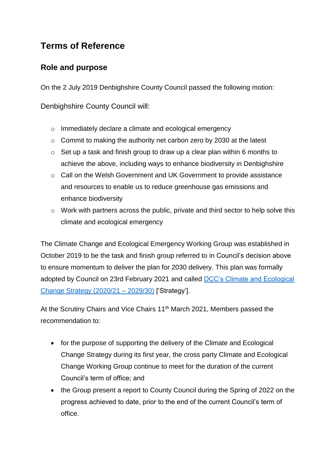# **Terms of Reference**

# **Role and purpose**

On the 2 July 2019 Denbighshire County Council passed the following motion:

Denbighshire County Council will:

- o Immediately declare a climate and ecological emergency
- o Commit to making the authority net carbon zero by 2030 at the latest
- $\circ$  Set up a task and finish group to draw up a clear plan within 6 months to achieve the above, including ways to enhance biodiversity in Denbighshire
- o Call on the Welsh Government and UK Government to provide assistance and resources to enable us to reduce greenhouse gas emissions and enhance biodiversity
- o Work with partners across the public, private and third sector to help solve this climate and ecological emergency

The Climate Change and Ecological Emergency Working Group was established in October 2019 to be the task and finish group referred to in Council's decision above to ensure momentum to deliver the plan for 2030 delivery. This plan was formally adopted by Council on 23rd February 2021 and called [DCC's Climate and Ecological](https://www.denbighshire.gov.uk/en/your-council/strategies-plans-and-policies/strategies/climate-and-ecological-change-strategy.aspx)  [Change Strategy \(2020/21 –](https://www.denbighshire.gov.uk/en/your-council/strategies-plans-and-policies/strategies/climate-and-ecological-change-strategy.aspx) 2029/30) ['Strategy'].

At the Scrutiny Chairs and Vice Chairs 11<sup>th</sup> March 2021, Members passed the recommendation to:

- for the purpose of supporting the delivery of the Climate and Ecological Change Strategy during its first year, the cross party Climate and Ecological Change Working Group continue to meet for the duration of the current Council's term of office; and
- the Group present a report to County Council during the Spring of 2022 on the progress achieved to date, prior to the end of the current Council's term of office.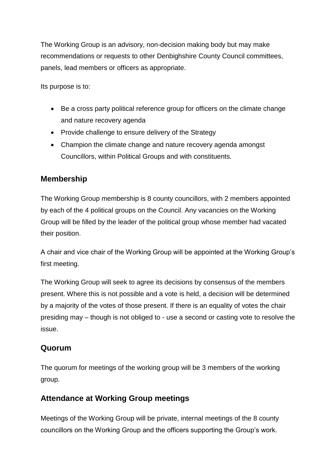The Working Group is an advisory, non-decision making body but may make recommendations or requests to other Denbighshire County Council committees, panels, lead members or officers as appropriate.

Its purpose is to:

- Be a cross party political reference group for officers on the climate change and nature recovery agenda
- Provide challenge to ensure delivery of the Strategy
- Champion the climate change and nature recovery agenda amongst Councillors, within Political Groups and with constituents.

#### **Membership**

The Working Group membership is 8 county councillors, with 2 members appointed by each of the 4 political groups on the Council. Any vacancies on the Working Group will be filled by the leader of the political group whose member had vacated their position.

A chair and vice chair of the Working Group will be appointed at the Working Group's first meeting.

The Working Group will seek to agree its decisions by consensus of the members present. Where this is not possible and a vote is held, a decision will be determined by a majority of the votes of those present. If there is an equality of votes the chair presiding may – though is not obliged to - use a second or casting vote to resolve the issue.

#### **Quorum**

The quorum for meetings of the working group will be 3 members of the working group.

### **Attendance at Working Group meetings**

Meetings of the Working Group will be private, internal meetings of the 8 county councillors on the Working Group and the officers supporting the Group's work.